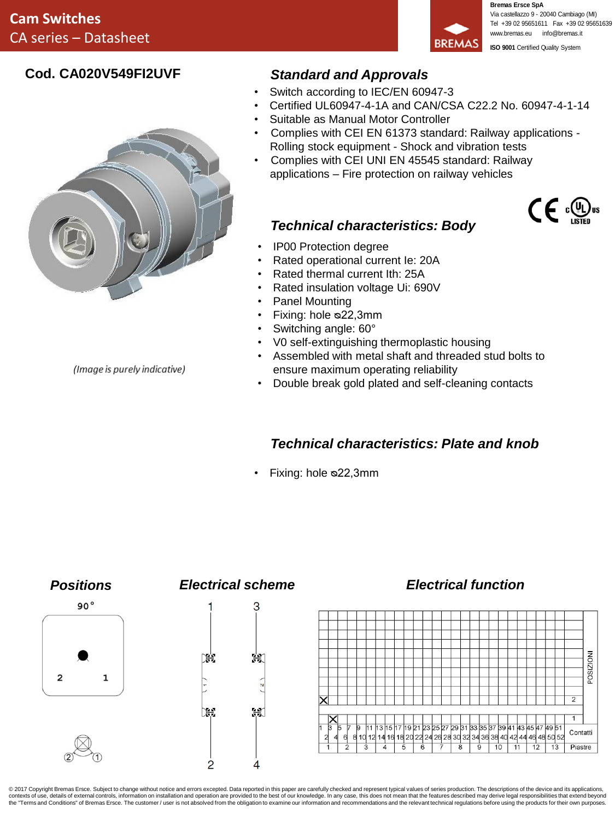

**Bremas Ersce SpA** Via castellazzo 9 - 20040 Cambiago (MI) Tel +39 02 95651611 Fax +39 02 95651639 www.bremas.eu info@bremas.it **ISO 9001** Certified Quality System

### **Cod. CA020V549FI2UVF**



*Standard and Approvals*

- Switch according to IEC/EN 60947-3
- Certified UL60947-4-1A and CAN/CSA C22.2 No. 60947-4-1-14
- Suitable as Manual Motor Controller
- Complies with CEI EN 61373 standard: Railway applications Rolling stock equipment - Shock and vibration tests
- Complies with CEI UNI EN 45545 standard: Railway applications – Fire protection on railway vehicles

# $\mathsf{CE} \oplus \mathsf{C}$

- *Technical characteristics: Body*
- IP00 Protection degree
- Rated operational current Ie: 20A
- Rated thermal current Ith: 25A
- Rated insulation voltage Ui: 690V
- Panel Mounting
- Fixing: hole ᴓ22,3mm
- Switching angle: 60°
- V0 self-extinguishing thermoplastic housing
- Assembled with metal shaft and threaded stud bolts to ensure maximum operating reliability
- Double break gold plated and self-cleaning contacts

## *Technical characteristics: Plate and knob*

• Fixing: hole ᴓ22,3mm



© 2017 Copyright Bremas Ersce. Subject to change without notice and errors excepted. Data reported in this paper are carefully checked and represent typical values of series production. The descriptions of the device and i the "Terms and Conditions" of Bremas Ersce. The customer / user is not absolved from the obligation to examine our information and recommendations and the relevant technical requlations before using the products for their

(Image is purely indicative)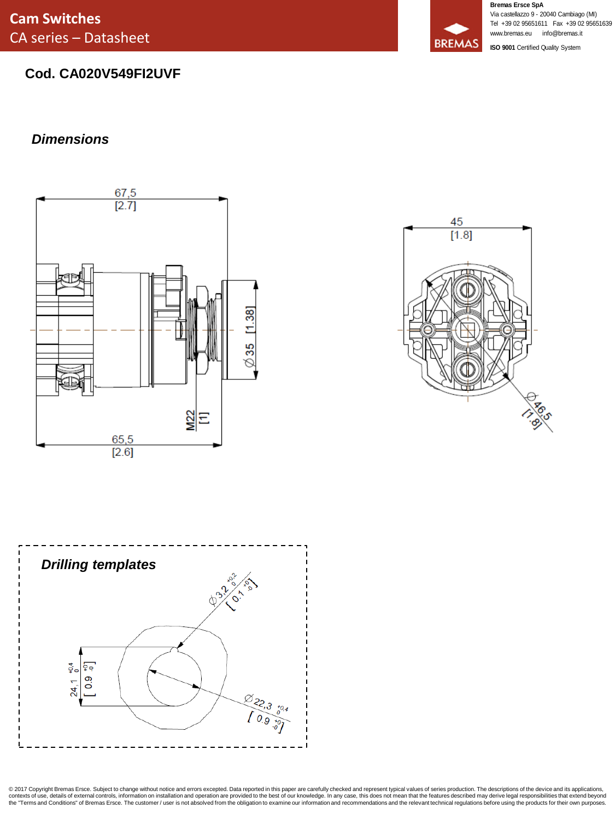**Cam Switches** CA series – Datasheet

### **Cod. CA020V549FI2UVF**

### *Dimensions*







**Bremas Ersce SpA** Via castellazzo 9 - 20040 Cambiago (MI) Tel +39 02 95651611 Fax +39 02 95651639 www.bremas.eu info@bremas.it

**ISO 9001** Certified Quality System



© 2017 Copyright Bremas Ersce. Subject to change without notice and errors excepted. Data reported in this paper are carefully checked and represent typical values of series production. The descriptions of the device and i